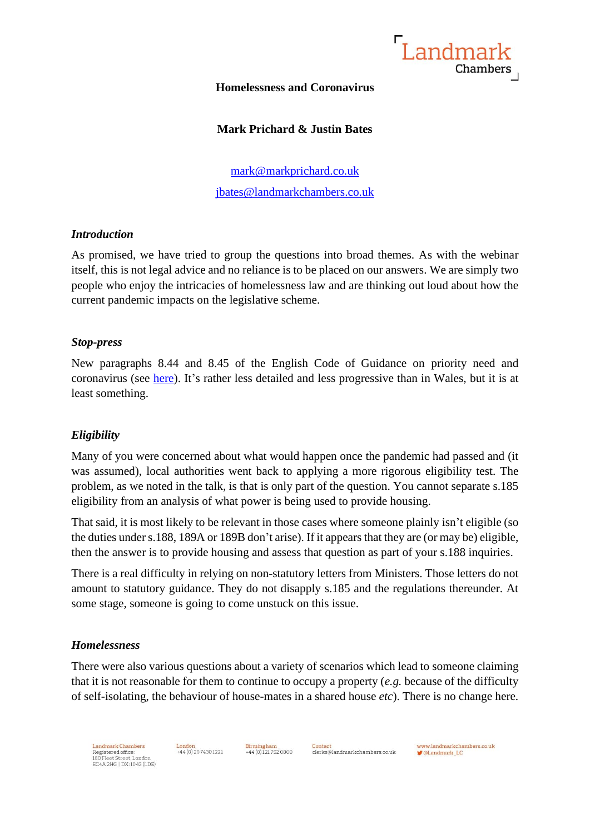

#### **Homelessness and Coronavirus**

# **Mark Prichard & Justin Bates**

[mark@markprichard.co.uk](mailto:mark@markprichard.co.uk) [jbates@landmarkchambers.co.uk](mailto:jbates@landmarkchambers.co.uk)

#### *Introduction*

As promised, we have tried to group the questions into broad themes. As with the webinar itself, this is not legal advice and no reliance is to be placed on our answers. We are simply two people who enjoy the intricacies of homelessness law and are thinking out loud about how the current pandemic impacts on the legislative scheme.

# *Stop-press*

New paragraphs 8.44 and 8.45 of the English Code of Guidance on priority need and coronavirus (see [here\)](https://www.gov.uk/guidance/homelessness-code-of-guidance-for-local-authorities/updates). It's rather less detailed and less progressive than in Wales, but it is at least something.

# *Eligibility*

Many of you were concerned about what would happen once the pandemic had passed and (it was assumed), local authorities went back to applying a more rigorous eligibility test. The problem, as we noted in the talk, is that is only part of the question. You cannot separate s.185 eligibility from an analysis of what power is being used to provide housing.

That said, it is most likely to be relevant in those cases where someone plainly isn't eligible (so the duties under s.188, 189A or 189B don't arise). If it appears that they are (or may be) eligible, then the answer is to provide housing and assess that question as part of your s.188 inquiries.

There is a real difficulty in relying on non-statutory letters from Ministers. Those letters do not amount to statutory guidance. They do not disapply s.185 and the regulations thereunder. At some stage, someone is going to come unstuck on this issue.

# *Homelessness*

There were also various questions about a variety of scenarios which lead to someone claiming that it is not reasonable for them to continue to occupy a property (*e.g.* because of the difficulty of self-isolating, the behaviour of house-mates in a shared house *etc*). There is no change here.